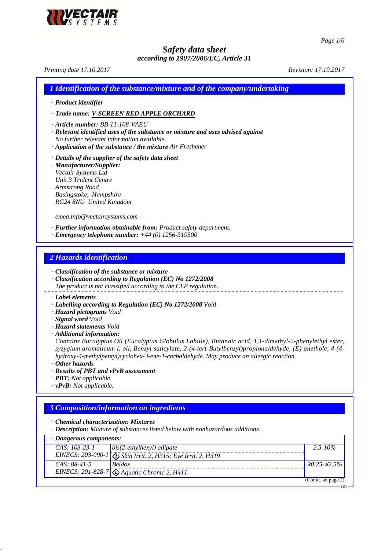

*Page 1/6*

# *Safety data sheet according to 1907/2006/EC, Article 31*

*Printing date 17.10.2017 Revision: 17.10.2017 1 Identification of the substance/mixture and of the company/undertaking · Product identifier · Trade name: V-SCREEN RED APPLE ORCHARD · Article number: BB-11-108-VAEU · Relevant identified uses of the substance or mixture and uses advised against No further relevant information available. · Application of the substance / the mixture Air Freshener · Details of the supplier of the safety data sheet · Manufacturer/Supplier: Vectair Systems Ltd Unit 3 Trident Centre Armstrong Road Basingstoke, Hampshire RG24 8NU United Kingdom emea.info@vectairsystems.com · Further information obtainable from: Product safety department. · Emergency telephone number: +44 (0) 1256-319500*

## *2 Hazards identification*

*· Classification of the substance or mixture*

*· Classification according to Regulation (EC) No 1272/2008*

*The product is not classified according to the CLP regulation.*

*· Label elements*

- *· Labelling according to Regulation (EC) No 1272/2008 Void*
- *· Hazard pictograms Void*
- *· Signal word Void*
- *· Hazard statements Void*
- *· Additional information:*

*Contains Eucalyptus Oil (Eucalyptus Globulus Labille), Butanoic acid, 1,1-dimethyl-2-phenylethyl ester, syzygium aromaticum l. oil, Benzyl salicylate, 2-(4-tert-Butylbenzyl)propionaldehyde, (E)-anethole, 4-(4 hydroxy-4-methylpentyl)cyclohex-3-ene-1-carbaldehyde. May produce an allergic reaction.*

*· Other hazards*

- *· Results of PBT and vPvB assessment*
- *· PBT: Not applicable.*
- *· vPvB: Not applicable.*

# *3 Composition/information on ingredients*

*· Chemical characterisation: Mixtures*

*· Description: Mixture of substances listed below with nonhazardous additions.*

| $\cdot$ Dangerous components: |                                                                             |                      |
|-------------------------------|-----------------------------------------------------------------------------|----------------------|
| $CAS: 103-23-1$               | $bis(2-ethylhexyl) adipate$                                                 | $2.5 - 10\%$         |
|                               | EINECS: 203-090-1 Skin Irrit. 2, H315; Eye Irrit. 2, H319                   |                      |
| $CAS: 88-41-5$                | <b>Beldox</b>                                                               | $\geq 0.25 - 52.5\%$ |
|                               | EINECS: 201-828-7 $\sqrt{\left(\frac{1}{2}\right)}$ Aquatic Chronic 2, H411 |                      |
|                               |                                                                             | (Contd. on page 2)   |
|                               |                                                                             | $-GB$                |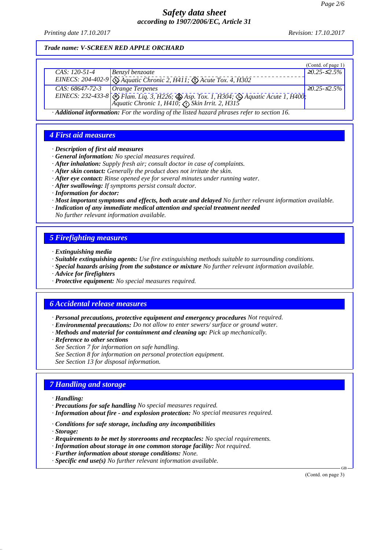*Printing date 17.10.2017 Revision: 17.10.2017*

### *Trade name: V-SCREEN RED APPLE ORCHARD*

|                                   |                                                                                                                                                                        | (Contd. of page $1$ ) |
|-----------------------------------|------------------------------------------------------------------------------------------------------------------------------------------------------------------------|-----------------------|
| CAS: $120-51-4$                   | Benzyl benzoate                                                                                                                                                        | $20.25 - 2.5\%$       |
|                                   | EINECS: 204-402-9 $\bigotimes$ Aquatic Chronic 2, H411; $\bigotimes$ Acute Tox. 4, H302                                                                                |                       |
| CAS: $68647-72-3$ Orange Terpenes |                                                                                                                                                                        | $\geq 0.25 - 52.5\%$  |
|                                   |                                                                                                                                                                        |                       |
|                                   | EINECS: 232-433-8 Flam. Liq. 3, H226; $\bigotimes$ Asp. Tox. 1, H304; $\bigotimes$ Aquatic Acute 1, H400;<br>Aquatic Chronic 1, H410; $\bigotimes$ Skin Irrit. 2, H315 |                       |
|                                   | Additional information: Equation of the light degrad physics upon to section 16                                                                                        |                       |

*· Additional information: For the wording of the listed hazard phrases refer to section 16.*

### *4 First aid measures*

- *· Description of first aid measures*
- *· General information: No special measures required.*
- *· After inhalation: Supply fresh air; consult doctor in case of complaints.*
- *· After skin contact: Generally the product does not irritate the skin.*
- *· After eye contact: Rinse opened eye for several minutes under running water.*
- *· After swallowing: If symptoms persist consult doctor.*
- *· Information for doctor:*
- *· Most important symptoms and effects, both acute and delayed No further relevant information available.*
- *· Indication of any immediate medical attention and special treatment needed*
- *No further relevant information available.*

# *5 Firefighting measures*

- *· Extinguishing media*
- *· Suitable extinguishing agents: Use fire extinguishing methods suitable to surrounding conditions.*
- *· Special hazards arising from the substance or mixture No further relevant information available.*
- *· Advice for firefighters*
- *· Protective equipment: No special measures required.*

### *6 Accidental release measures*

- *· Personal precautions, protective equipment and emergency procedures Not required.*
- *· Environmental precautions: Do not allow to enter sewers/ surface or ground water.*
- *· Methods and material for containment and cleaning up: Pick up mechanically.*
- *· Reference to other sections*
- *See Section 7 for information on safe handling.*
- *See Section 8 for information on personal protection equipment.*

*See Section 13 for disposal information.*

### *7 Handling and storage*

- *· Handling:*
- *· Precautions for safe handling No special measures required.*
- *· Information about fire and explosion protection: No special measures required.*
- *· Conditions for safe storage, including any incompatibilities*
- *· Storage:*
- *· Requirements to be met by storerooms and receptacles: No special requirements.*
- *· Information about storage in one common storage facility: Not required.*
- *· Further information about storage conditions: None.*
- *· Specific end use(s) No further relevant information available.*

(Contd. on page 3)

GB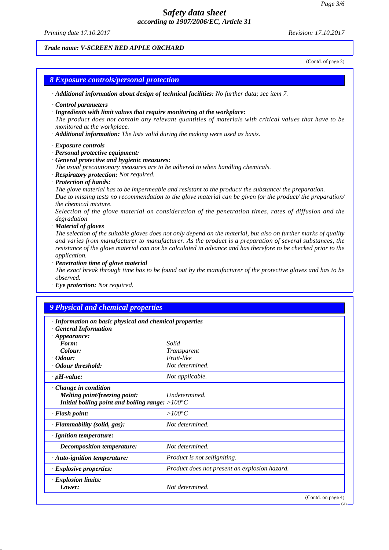*Printing date 17.10.2017 Revision: 17.10.2017*

### *Trade name: V-SCREEN RED APPLE ORCHARD*

(Contd. of page 2)

GB

# *8 Exposure controls/personal protection · Additional information about design of technical facilities: No further data; see item 7. · Control parameters · Ingredients with limit values that require monitoring at the workplace: The product does not contain any relevant quantities of materials with critical values that have to be monitored at the workplace. · Additional information: The lists valid during the making were used as basis. · Exposure controls · Personal protective equipment: · General protective and hygienic measures: The usual precautionary measures are to be adhered to when handling chemicals. · Respiratory protection: Not required. · Protection of hands: The glove material has to be impermeable and resistant to the product/ the substance/ the preparation. Due to missing tests no recommendation to the glove material can be given for the product/ the preparation/ the chemical mixture. Selection of the glove material on consideration of the penetration times, rates of diffusion and the degradation · Material of gloves The selection of the suitable gloves does not only depend on the material, but also on further marks of quality and varies from manufacturer to manufacturer. As the product is a preparation of several substances, the resistance of the glove material can not be calculated in advance and has therefore to be checked prior to the application. · Penetration time of glove material The exact break through time has to be found out by the manufacturer of the protective gloves and has to be observed. · Eye protection: Not required. 9 Physical and chemical properties*

| · Information on basic physical and chemical properties   |                                               |
|-----------------------------------------------------------|-----------------------------------------------|
| <b>General Information</b>                                |                                               |
| $\cdot$ Appearance:                                       |                                               |
| Form:                                                     | Solid                                         |
| Colour:                                                   | <i>Transparent</i>                            |
| $\cdot$ Odour:                                            | Fruit-like                                    |
| Odour threshold:                                          | Not determined.                               |
| $\cdot$ pH-value:                                         | Not applicable.                               |
| · Change in condition                                     |                                               |
| Melting point/freezing point:                             | Undetermined.                                 |
| Initial boiling point and boiling range: $>100^{\circ}$ C |                                               |
| · Flash point:                                            | $>100^{\circ}C$                               |
| · Flammability (solid, gas):                              | Not determined.                               |
| · Ignition temperature:                                   |                                               |
| Decomposition temperature:                                | Not determined.                               |
| $\cdot$ Auto-ignition temperature:                        | Product is not selfigniting.                  |
| $\cdot$ Explosive properties:                             | Product does not present an explosion hazard. |
| · Explosion limits:                                       |                                               |
| Lower:                                                    | Not determined.                               |
|                                                           | (Contd. on page 4)                            |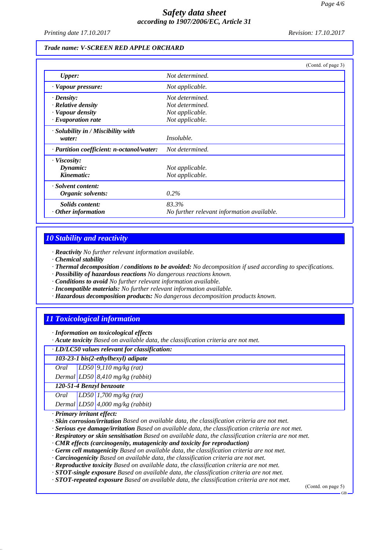*Printing date 17.10.2017 Revision: 17.10.2017*

#### *Trade name: V-SCREEN RED APPLE ORCHARD*

|                                           | (Contd. of page 3)                         |
|-------------------------------------------|--------------------------------------------|
| <b>Upper:</b>                             | Not determined.                            |
| · Vapour pressure:                        | Not applicable.                            |
| $\cdot$ Density:                          | Not determined.                            |
| $\cdot$ Relative density                  | Not determined.                            |
| · Vapour density                          | Not applicable.                            |
| $\cdot$ Evaporation rate                  | Not applicable.                            |
| $\cdot$ Solubility in / Miscibility with  |                                            |
| water:                                    | Insoluble.                                 |
| · Partition coefficient: n-octanol/water: | Not determined.                            |
| $\cdot$ Viscosity:                        |                                            |
| Dynamic:                                  | Not applicable.                            |
| Kinematic:                                | Not applicable.                            |
| · Solvent content:                        |                                            |
| Organic solvents:                         | $0.2\%$                                    |
| Solids content:                           | 83.3%                                      |
| $\cdot$ Other information                 | No further relevant information available. |

### *10 Stability and reactivity*

*· Reactivity No further relevant information available.*

- *· Chemical stability*
- *· Thermal decomposition / conditions to be avoided: No decomposition if used according to specifications.*
- *· Possibility of hazardous reactions No dangerous reactions known.*
- *· Conditions to avoid No further relevant information available.*
- *· Incompatible materials: No further relevant information available.*
- *· Hazardous decomposition products: No dangerous decomposition products known.*

### *11 Toxicological information*

*· Information on toxicological effects*

*· Acute toxicity Based on available data, the classification criteria are not met.*

*· LD/LC50 values relevant for classification:*

*103-23-1 bis(2-ethylhexyl) adipate*

*Oral LD50 9,110 mg/kg (rat)*

*Dermal LD50 8,410 mg/kg (rabbit)*

*120-51-4 Benzyl benzoate*

*Oral LD50 1,700 mg/kg (rat)*

*Dermal LD50 4,000 mg/kg (rabbit)*

*· Primary irritant effect:*

*· Skin corrosion/irritation Based on available data, the classification criteria are not met.*

*· Serious eye damage/irritation Based on available data, the classification criteria are not met.*

*· Respiratory or skin sensitisation Based on available data, the classification criteria are not met.*

*· CMR effects (carcinogenity, mutagenicity and toxicity for reproduction)*

*· Germ cell mutagenicity Based on available data, the classification criteria are not met.*

*· Carcinogenicity Based on available data, the classification criteria are not met.*

*· Reproductive toxicity Based on available data, the classification criteria are not met.*

*· STOT-single exposure Based on available data, the classification criteria are not met.*

*· STOT-repeated exposure Based on available data, the classification criteria are not met.*

(Contd. on page 5)

GB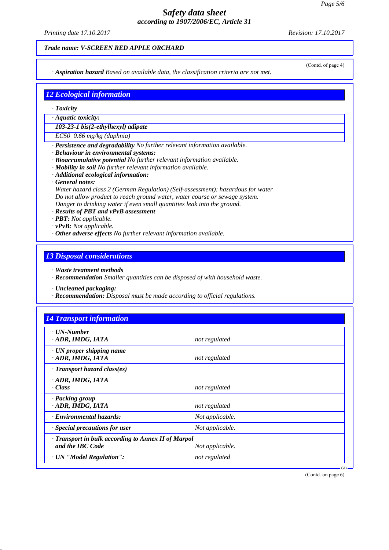*Printing date 17.10.2017 Revision: 17.10.2017*

#### *Trade name: V-SCREEN RED APPLE ORCHARD*

*· Aspiration hazard Based on available data, the classification criteria are not met.*

(Contd. of page 4)

# *12 Ecological information*

- *· Toxicity*
- *· Aquatic toxicity:*

*103-23-1 bis(2-ethylhexyl) adipate*

*EC50 0.66 mg/kg (daphnia)*

- *· Persistence and degradability No further relevant information available.*
- *· Behaviour in environmental systems:*
- *· Bioaccumulative potential No further relevant information available.*
- *· Mobility in soil No further relevant information available.*
- *· Additional ecological information:*
- *· General notes:*

*Water hazard class 2 (German Regulation) (Self-assessment): hazardous for water Do not allow product to reach ground water, water course or sewage system. Danger to drinking water if even small quantities leak into the ground.*

- *· Results of PBT and vPvB assessment*
- *· PBT: Not applicable.*
- *· vPvB: Not applicable.*
- *· Other adverse effects No further relevant information available.*

# *13 Disposal considerations*

*· Waste treatment methods*

*· Recommendation Smaller quantities can be disposed of with household waste.*

*· Uncleaned packaging:*

*· Recommendation: Disposal must be made according to official regulations.*

| $\cdot$ UN-Number                                   |                 |  |
|-----------------------------------------------------|-----------------|--|
| ADR, IMDG, IATA                                     | not regulated   |  |
| $\cdot$ UN proper shipping name                     |                 |  |
| ADR, IMDG, IATA                                     | not regulated   |  |
| $\cdot$ Transport hazard class(es)                  |                 |  |
| · ADR, IMDG, IATA                                   |                 |  |
| $\cdot Class$                                       | not regulated   |  |
| · Packing group                                     |                 |  |
| ADR, IMDG, IATA                                     | not regulated   |  |
| · Environmental hazards:                            | Not applicable. |  |
| $\cdot$ Special precautions for user                | Not applicable. |  |
| · Transport in bulk according to Annex II of Marpol |                 |  |
| and the IBC Code                                    | Not applicable. |  |
| · UN "Model Regulation":                            | not regulated   |  |

(Contd. on page 6)